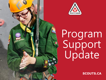



# Program Support Update

**It Starts with Scouts. Tout commence avec les Scouts. SCOUTS.CA**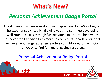## What's New?

## *Personal Achievement Badge Portal*

Great Scouting adventures don't just happen outdoors-Scouting can be experienced virtually, allowing youth to continue developing well-rounded skills through fun activities! In order to help youth discover the Canadian Path more easily, Scouts Canada's Personal Achievement Badge experience offers straightforward navigation for youth to find fun and engaging resources.

### [Personal Achievement Badge Portal](about:blank)

https://www.scouts.ca/programs/canadian-path/personal-achievement-badges/personal-achievement-badges-beavers.html

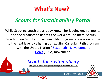## What's New?

## *Scouts for Sustainability Portal*

While Scouting youth are already known for leading environmental and social causes to benefit the world around them, Scouts Canada's new Scouts for Sustainability program is taking our impact to the next level by aligning our existing Canadian Path program with the United Nations' [Sustainable Development](about:blank) Goals (SDGs) movement.

*[Scouts for Sustainability](about:blank)*

*https://www.scouts.ca/programs/scouts-for-sustainability/faqs.html*



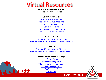## Virtual Resources

#### **Virtual Scouting Week to Week**

Here are a few resources

#### **General information**

[Tips for Virtual Meetings](about:blank) [Activities for Virtual Meetings](about:blank) [Virtual Scouting Safety Tips](about:blank) [Scouting at Home](about:blank) [Sustainable Development Goals](about:blank) [Personal Achievement Badges](about:blank)

#### **Beaver Colony**

[8 weeks of Virtual Scouting Meetings](about:blank) [Plan-Do-Review: How to time your virtual meeting](about:blank)

#### **Cub Pack**

[8 weeks of Virtual Scouting Meetings](about:blank) [Plan-Do-Review: How to time your virtual meeting](about:blank)

#### **Trail Cards for Virtual Meetings**

[Let's Get Virtual](about:blank) [Learn Something New](about:blank) [What is… a virtual trivia game?](about:blank) [On the \(Scavenger\) Hunt](about:blank) [Get That Lingo!](about:blank) [Virtual Trek](about:blank)

ጅላጅ ጅነ

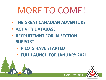## **MORE TO COME!**

- **THE GREAT CANADIAN ADVENTURE**
- **ACTIVITY DATABASE**
- **RECRUITEMNT FOR IN-SECTION SUPPORT** 
	- **PILOTS HAVE STARTED**
	- **FULL LAUNCH FOR JANUARY 2021**

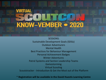## **VIRTUAL** KNOW-VEMBER . 2020

SESSIONS: Sustainable Development Goals (SDGs) Outdoor Adventurers Mental Health Best Practices for Behaviour Management Personal Achievement Badges Winter Adventures Patrol Systems and Section Leadership Teams Gamestorming Virtual Scouting Scoutstracker - Introduction & Get the Most out of the Platform

\* **Registration will be available in the David Huestis Learning Centre**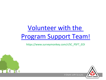## [Volunteer with the](about:blank)  [Program Support Team](about:blank)!

#### https://www.surveymonkey.com/r/SC\_PSFT\_EOI

**Expanding Company**